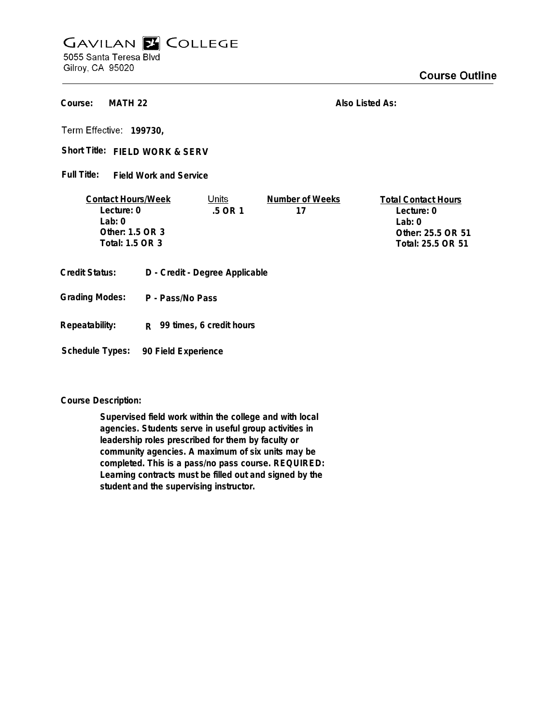## **GAVILAN E COLLEGE** 5055 Santa Teresa Blvd

Gilroy, CA 95020

**MATH 22 Course:**

**Also Listed As:**

**199730,**

Short Title: FIELD WORK & SERV

**Field Work and Service Full Title:**

| <b>Contact Hours/Week</b> | Jnits     | Number of Weeks | <b>Total Contact Hours</b> |
|---------------------------|-----------|-----------------|----------------------------|
| Lecture: 0                | $.5$ OR 1 |                 | Lecture: 0                 |
| $1$ ab: $0$               |           |                 | l ab: 0                    |
| Other: 1.5 OR 3           |           |                 | Other: 25.5 OR 51          |
| Total: 1.5 OR 3           |           |                 | Total: 25.5 OR 51          |
|                           |           |                 |                            |

- **Credit Status: D Credit Degree Applicable**
- **P Pass/No Pass Grading Modes:**
- **Repeatability: R 99 times, 6 credit hours**

**Schedule Types: 90 Field Experience**

**Course Description:**

**Supervised field work within the college and with local agencies. Students serve in useful group activities in leadership roles prescribed for them by faculty or community agencies. A maximum of six units may be completed. This is a pass/no pass course. REQUIRED: Learning contracts must be filled out and signed by the student and the supervising instructor.**